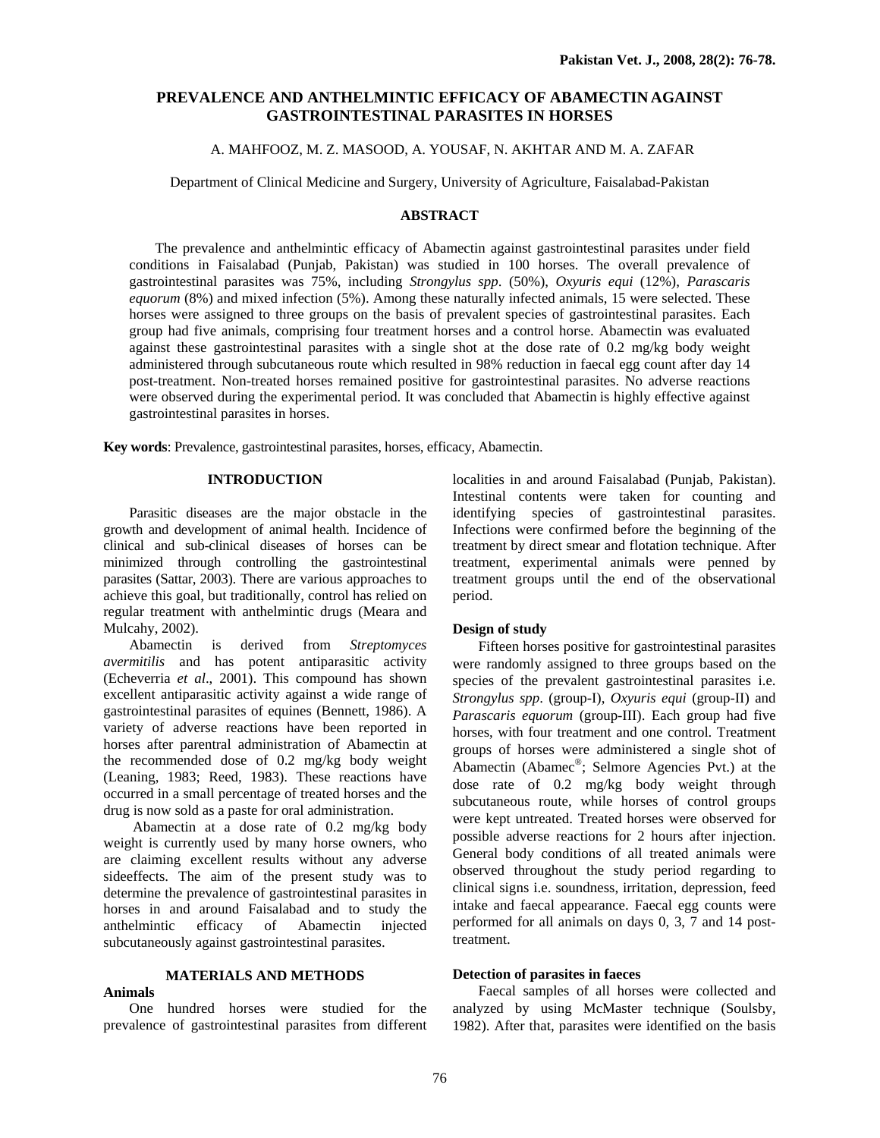# **PREVALENCE AND ANTHELMINTIC EFFICACY OF ABAMECTIN AGAINST GASTROINTESTINAL PARASITES IN HORSES**

# A. MAHFOOZ, M. Z. MASOOD, A. YOUSAF, N. AKHTAR AND M. A. ZAFAR

Department of Clinical Medicine and Surgery, University of Agriculture, Faisalabad-Pakistan

# **ABSTRACT**

 The prevalence and anthelmintic efficacy of Abamectin against gastrointestinal parasites under field conditions in Faisalabad (Punjab, Pakistan) was studied in 100 horses. The overall prevalence of gastrointestinal parasites was 75%, including *Strongylus spp*. (50%), *Oxyuris equi* (12%), *Parascaris equorum* (8%) and mixed infection (5%). Among these naturally infected animals, 15 were selected. These horses were assigned to three groups on the basis of prevalent species of gastrointestinal parasites. Each group had five animals, comprising four treatment horses and a control horse. Abamectin was evaluated against these gastrointestinal parasites with a single shot at the dose rate of 0.2 mg/kg body weight administered through subcutaneous route which resulted in 98% reduction in faecal egg count after day 14 post-treatment. Non-treated horses remained positive for gastrointestinal parasites. No adverse reactions were observed during the experimental period. It was concluded that Abamectin is highly effective against gastrointestinal parasites in horses.

**Key words**: Prevalence, gastrointestinal parasites, horses, efficacy, Abamectin.

## **INTRODUCTION**

Parasitic diseases are the major obstacle in the growth and development of animal health. Incidence of clinical and sub-clinical diseases of horses can be minimized through controlling the gastrointestinal parasites (Sattar, 2003). There are various approaches to achieve this goal, but traditionally, control has relied on regular treatment with anthelmintic drugs (Meara and Mulcahy, 2002).

Abamectin is derived from *Streptomyces avermitilis* and has potent antiparasitic activity (Echeverria *et al*., 2001). This compound has shown excellent antiparasitic activity against a wide range of gastrointestinal parasites of equines (Bennett, 1986). A variety of adverse reactions have been reported in horses after parentral administration of Abamectin at the recommended dose of 0.2 mg/kg body weight (Leaning, 1983; Reed, 1983). These reactions have occurred in a small percentage of treated horses and the drug is now sold as a paste for oral administration.

 Abamectin at a dose rate of 0.2 mg/kg body weight is currently used by many horse owners, who are claiming excellent results without any adverse sideeffects. The aim of the present study was to determine the prevalence of gastrointestinal parasites in horses in and around Faisalabad and to study the anthelmintic efficacy of Abamectin injected subcutaneously against gastrointestinal parasites.

# **MATERIALS AND METHODS**

## **Animals**

One hundred horses were studied for the prevalence of gastrointestinal parasites from different localities in and around Faisalabad (Punjab, Pakistan). Intestinal contents were taken for counting and identifying species of gastrointestinal parasites. Infections were confirmed before the beginning of the treatment by direct smear and flotation technique. After treatment, experimental animals were penned by treatment groups until the end of the observational period.

#### **Design of study**

Fifteen horses positive for gastrointestinal parasites were randomly assigned to three groups based on the species of the prevalent gastrointestinal parasites i.e. *Strongylus spp*. (group-I), *Oxyuris equi* (group-II) and *Parascaris equorum* (group-III). Each group had five horses, with four treatment and one control. Treatment groups of horses were administered a single shot of Abamectin (Abamec®; Selmore Agencies Pvt.) at the dose rate of 0.2 mg/kg body weight through subcutaneous route, while horses of control groups were kept untreated. Treated horses were observed for possible adverse reactions for 2 hours after injection. General body conditions of all treated animals were observed throughout the study period regarding to clinical signs i.e. soundness, irritation, depression, feed intake and faecal appearance. Faecal egg counts were performed for all animals on days 0, 3, 7 and 14 posttreatment.

#### **Detection of parasites in faeces**

Faecal samples of all horses were collected and analyzed by using McMaster technique (Soulsby, 1982). After that, parasites were identified on the basis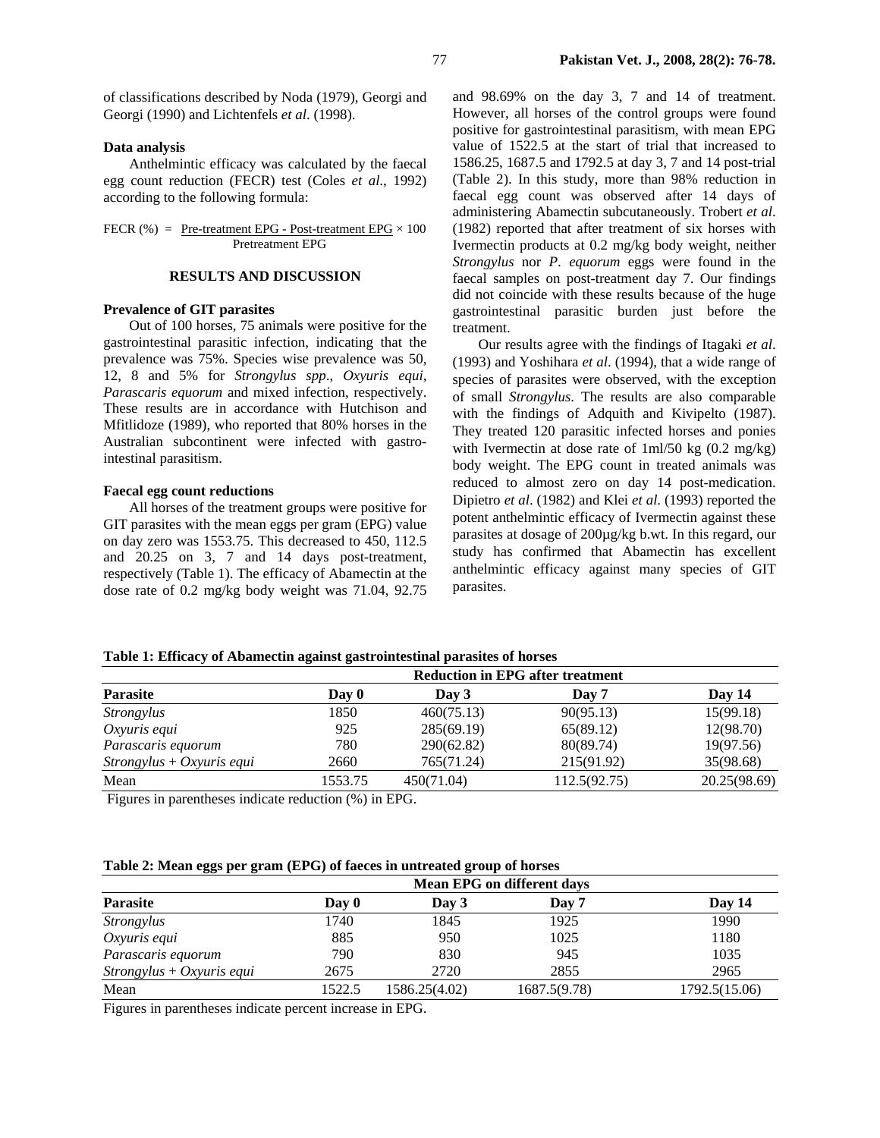of classifications described by Noda (1979), Georgi and Georgi (1990) and Lichtenfels *et al*. (1998).

### **Data analysis**

Anthelmintic efficacy was calculated by the faecal egg count reduction (FECR) test (Coles *et al*., 1992) according to the following formula:

#### FECR (%) =  $Pre-treatment EPG - Post-treatment EPG \times 100$ Pretreatment EPG

#### **RESULTS AND DISCUSSION**

#### **Prevalence of GIT parasites**

Out of 100 horses, 75 animals were positive for the gastrointestinal parasitic infection, indicating that the prevalence was 75%. Species wise prevalence was 50, 12, 8 and 5% for *Strongylus spp*., *Oxyuris equi, Parascaris equorum* and mixed infection, respectively. These results are in accordance with Hutchison and Mfitlidoze (1989), who reported that 80% horses in the Australian subcontinent were infected with gastrointestinal parasitism.

#### **Faecal egg count reductions**

All horses of the treatment groups were positive for GIT parasites with the mean eggs per gram (EPG) value on day zero was 1553.75. This decreased to 450, 112.5 and 20.25 on 3, 7 and 14 days post-treatment, respectively (Table 1). The efficacy of Abamectin at the dose rate of 0.2 mg/kg body weight was 71.04, 92.75

and 98.69% on the day 3, 7 and 14 of treatment. However, all horses of the control groups were found positive for gastrointestinal parasitism, with mean EPG value of 1522.5 at the start of trial that increased to 1586.25, 1687.5 and 1792.5 at day 3, 7 and 14 post-trial (Table 2). In this study, more than 98% reduction in faecal egg count was observed after 14 days of administering Abamectin subcutaneously. Trobert *et al*. (1982) reported that after treatment of six horses with Ivermectin products at 0.2 mg/kg body weight, neither *Strongylus* nor *P*. *equorum* eggs were found in the faecal samples on post-treatment day 7. Our findings did not coincide with these results because of the huge gastrointestinal parasitic burden just before the treatment.

Our results agree with the findings of Itagaki *et al*. (1993) and Yoshihara *et al*. (1994), that a wide range of species of parasites were observed, with the exception of small *Strongylus*. The results are also comparable with the findings of Adquith and Kivipelto (1987). They treated 120 parasitic infected horses and ponies with Ivermectin at dose rate of 1ml/50 kg (0.2 mg/kg) body weight. The EPG count in treated animals was reduced to almost zero on day 14 post-medication. Dipietro *et al*. (1982) and Klei *et al*. (1993) reported the potent anthelmintic efficacy of Ivermectin against these parasites at dosage of 200µg/kg b.wt. In this regard, our study has confirmed that Abamectin has excellent anthelmintic efficacy against many species of GIT parasites.

#### **Table 1: Efficacy of Abamectin against gastrointestinal parasites of horses**

| <b>Parasite</b>             | <b>Reduction in EPG after treatment</b> |            |              |              |
|-----------------------------|-----------------------------------------|------------|--------------|--------------|
|                             | Day 0                                   | Day 3      | Day 7        | Day 14       |
| <i>Strongylus</i>           | 1850                                    | 460(75.13) | 90(95.13)    | 15(99.18)    |
| Oxyuris equi                | 925                                     | 285(69.19) | 65(89.12)    | 12(98.70)    |
| Parascaris equorum          | 780                                     | 290(62.82) | 80(89.74)    | 19(97.56)    |
| $Strongylus + Oxyuris equi$ | 2660                                    | 765(71.24) | 215(91.92)   | 35(98.68)    |
| Mean                        | 1553.75                                 | 450(71.04) | 112.5(92.75) | 20.25(98.69) |

Figures in parentheses indicate reduction (%) in EPG.

### **Table 2: Mean eggs per gram (EPG) of faeces in untreated group of horses**

|                             | <b>Mean EPG on different days</b> |               |              |               |
|-----------------------------|-----------------------------------|---------------|--------------|---------------|
| <b>Parasite</b>             | Day 0                             | Day 3         | Day 7        | Day 14        |
| <i>Strongylus</i>           | 1740                              | 1845          | 1925         | 1990          |
| Oxyuris equi                | 885                               | 950           | 1025         | 1180          |
| Parascaris equorum          | 790                               | 830           | 945          | 1035          |
| $Strongylus + Oxyuris equi$ | 2675                              | 2720          | 2855         | 2965          |
| Mean                        | 1522.5                            | 1586.25(4.02) | 1687.5(9.78) | 1792.5(15.06) |

Figures in parentheses indicate percent increase in EPG.